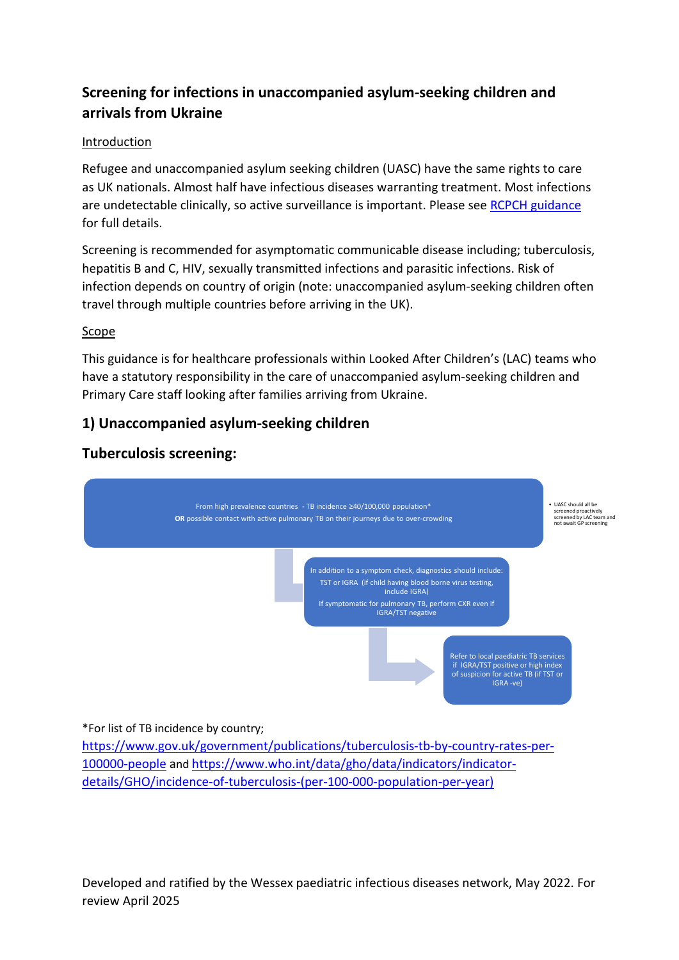# **Screening for infections in unaccompanied asylum-seeking children and arrivals from Ukraine**

#### Introduction

Refugee and unaccompanied asylum seeking children (UASC) have the same rights to care as UK nationals. Almost half have infectious diseases warranting treatment. Most infections are undetectable clinically, so active surveillance is important. Please see [RCPCH guidance](https://www.rcpch.ac.uk/resources/refugee-unaccompanied-asylum-seeking-children-young-people-guidance-paediatricians) for full details.

Screening is recommended for asymptomatic communicable disease including; tuberculosis, hepatitis B and C, HIV, sexually transmitted infections and parasitic infections. Risk of infection depends on country of origin (note: unaccompanied asylum-seeking children often travel through multiple countries before arriving in the UK).

### Scope

This guidance is for healthcare professionals within Looked After Children's (LAC) teams who have a statutory responsibility in the care of unaccompanied asylum-seeking children and Primary Care staff looking after families arriving from Ukraine.

# **1) Unaccompanied asylum-seeking children**

## **Tuberculosis screening:**



\*For list of TB incidence by country;

[https://www.gov.uk/government/publications/tuberculosis-tb-by-country-rates-per-](https://www.gov.uk/government/publications/tuberculosis-tb-by-country-rates-per-100000-people)[100000-people](https://www.gov.uk/government/publications/tuberculosis-tb-by-country-rates-per-100000-people) and [https://www.who.int/data/gho/data/indicators/indicator](https://www.who.int/data/gho/data/indicators/indicator-details/GHO/incidence-of-tuberculosis-(per-100-000-population-per-year))[details/GHO/incidence-of-tuberculosis-\(per-100-000-population-per-year\)](https://www.who.int/data/gho/data/indicators/indicator-details/GHO/incidence-of-tuberculosis-(per-100-000-population-per-year))

Developed and ratified by the Wessex paediatric infectious diseases network, May 2022. For review April 2025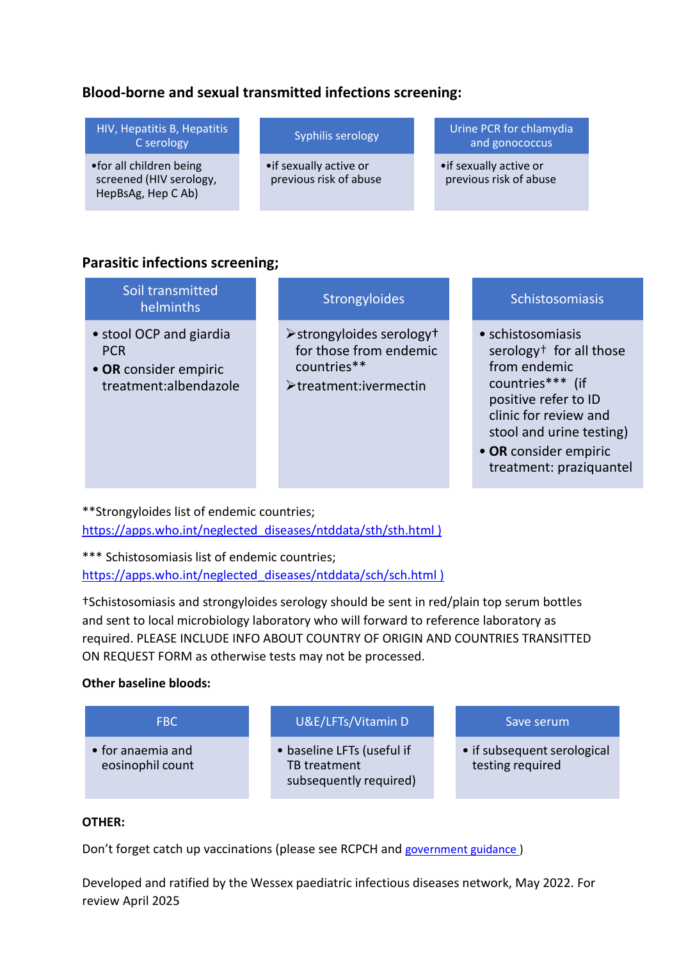## **Blood-borne and sexual transmitted infections screening:**

| HIV, Hepatitis B, Hepatitis<br>C serology                                 | Syphilis serology                                 | Urine PCR for chlamydia<br>and gonococcus         |
|---------------------------------------------------------------------------|---------------------------------------------------|---------------------------------------------------|
| • for all children being<br>screened (HIV serology,<br>HepBsAg, Hep C Ab) | • if sexually active or<br>previous risk of abuse | • if sexually active or<br>previous risk of abuse |

### **Parasitic infections screening;**

| Soil transmitted<br>helminths |  |
|-------------------------------|--|
|                               |  |

- stool OCP and giardia **PCR**
- **OR** consider empiric treatment:albendazole

#### **Strongyloides**

- strongyloides serology† for those from endemic countries\*\*
- treatment:ivermectin

#### **Schistosomiasis**

- schistosomiasis serology† for all those from endemic countries\*\*\* (if positive refer to ID clinic for review and stool and urine testing)
- **OR** consider empiric treatment: praziquantel

\*\*Strongyloides list of endemic countries; [https://apps.who.int/neglected\\_diseases/ntddata/sth/sth.html](https://apps.who.int/neglected_diseases/ntddata/sth/sth.html) )

\*\*\* Schistosomiasis list of endemic countries; https://apps.who.int/neglected diseases/ntddata/sch/sch.html )

†Schistosomiasis and strongyloides serology should be sent in red/plain top serum bottles and sent to local microbiology laboratory who will forward to reference laboratory as required. PLEASE INCLUDE INFO ABOUT COUNTRY OF ORIGIN AND COUNTRIES TRANSITTED ON REQUEST FORM as otherwise tests may not be processed.

#### **Other baseline bloods:**



#### **OTHER:**

Don't forget catch up vaccinations (please see RCPCH and [government guidance \)](https://www.gov.uk/government/publications/vaccination-of-individuals-with-uncertain-or-incomplete-immunisation-status)

Developed and ratified by the Wessex paediatric infectious diseases network, May 2022. For review April 2025